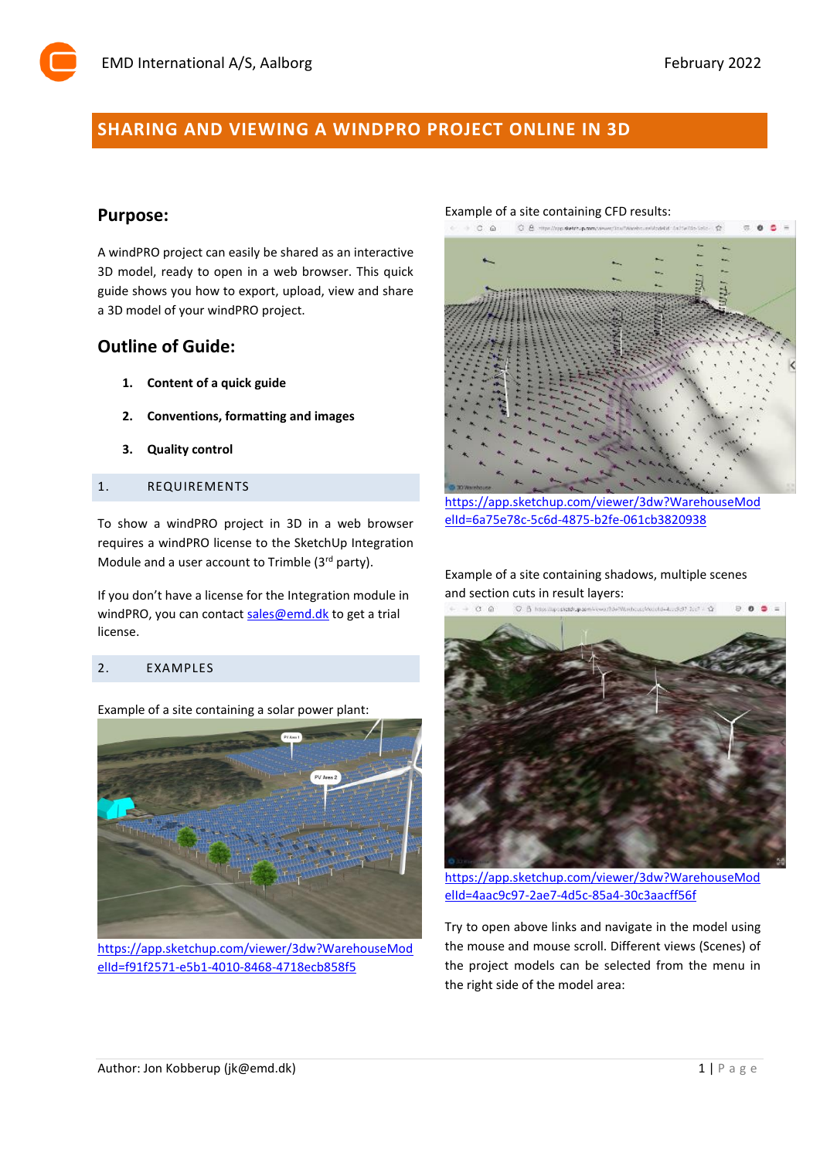# **SHARING AND VIEWING A WINDPRO PROJECT ONLINE IN 3D**

# **Purpose:**

A windPRO project can easily be shared as an interactive 3D model, ready to open in a web browser. This quick guide shows you how to export, upload, view and share a 3D model of your windPRO project.

# **Outline of Guide:**

- **1. Content of a quick guide**
- **2. Conventions, formatting and images**
- **3. Quality control**

### 1. REQUIREMENTS

To show a windPRO project in 3D in a web browser requires a windPRO license to the SketchUp Integration Module and a user account to Trimble (3rd party).

If you don't have a license for the Integration module in windPRO, you can contac[t sales@emd.dk](mailto:sales@emd.dk) to get a trial license.

### 2. EXAMPLES

Example of a site containing a solar power plant:



[https://app.sketchup.com/viewer/3dw?WarehouseMod](https://app.sketchup.com/viewer/3dw?WarehouseModelId=f91f2571-e5b1-4010-8468-4718ecb858f5) [elId=f91f2571-e5b1-4010-8468-4718ecb858f5](https://app.sketchup.com/viewer/3dw?WarehouseModelId=f91f2571-e5b1-4010-8468-4718ecb858f5)

#### Example of a site containing CFD results:



[https://app.sketchup.com/viewer/3dw?WarehouseMod](https://app.sketchup.com/viewer/3dw?WarehouseModelId=6a75e78c-5c6d-4875-b2fe-061cb3820938) [elId=6a75e78c-5c6d-4875-b2fe-061cb3820938](https://app.sketchup.com/viewer/3dw?WarehouseModelId=6a75e78c-5c6d-4875-b2fe-061cb3820938)

Example of a site containing shadows, multiple scenes and section cuts in result layers:<br> $\rightarrow \alpha \alpha$  .  $\alpha$  is non-measure particular measurements in the set of



[https://app.sketchup.com/viewer/3dw?WarehouseMod](https://app.sketchup.com/viewer/3dw?WarehouseModelId=4aac9c97-2ae7-4d5c-85a4-30c3aacff56f) [elId=4aac9c97-2ae7-4d5c-85a4-30c3aacff56f](https://app.sketchup.com/viewer/3dw?WarehouseModelId=4aac9c97-2ae7-4d5c-85a4-30c3aacff56f)

Try to open above links and navigate in the model using the mouse and mouse scroll. Different views (Scenes) of the project models can be selected from the menu in the right side of the model area: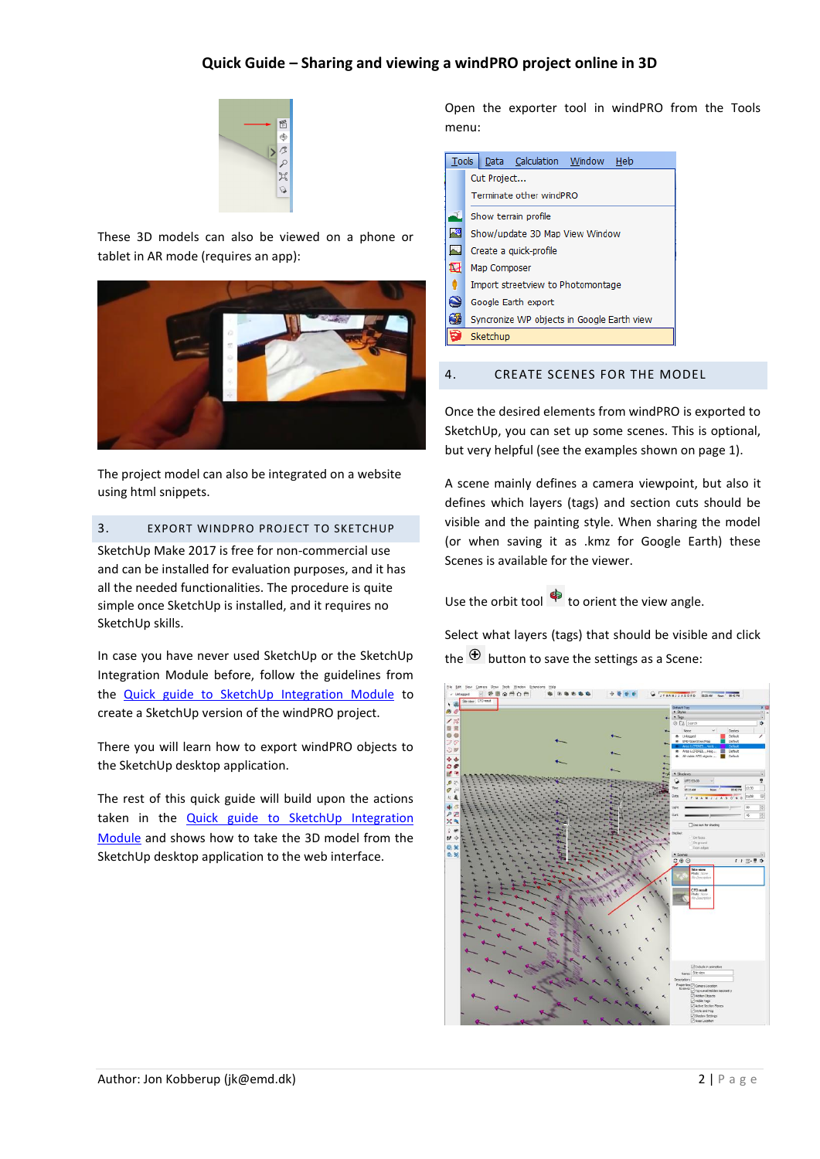## **Quick Guide – Sharing and viewing a windPRO project online in 3D**



These 3D models can also be viewed on a phone or tablet in AR mode (requires an app):



The project model can also be integrated on a website using html snippets.

### 3. EXPORT WINDPRO PROJECT TO SKETCHUP

SketchUp Make 2017 is free for non-commercial use and can be installed for evaluation purposes, and it has all the needed functionalities. The procedure is quite simple once SketchUp is installed, and it requires no SketchUp skills.

In case you have never used SketchUp or the SketchUp Integration Module before, follow the guidelines from the **Quick [guide to SketchUp Integration Module](https://www.emd.dk/redirectUrl.php?category=windPRO&id=SketchupQuickGuide)** to create a SketchUp version of the windPRO project.

There you will learn how to export windPRO objects to the SketchUp desktop application.

The rest of this quick guide will build upon the actions taken in the [Quick guide to SketchUp Integration](https://www.emd.dk/redirectUrl.php?category=windPRO&id=SketchupQuickGuide)  [Module](https://www.emd.dk/redirectUrl.php?category=windPRO&id=SketchupQuickGuide) and shows how to take the 3D model from the SketchUp desktop application to the web interface.

Open the exporter tool in windPRO from the Tools menu:

| Tools     | Data Calculation Window<br>Help            |
|-----------|--------------------------------------------|
|           | Cut Project                                |
|           | Terminate other windPRO                    |
|           | Show terrain profile                       |
| W         | Show/update 3D Map View Window             |
| h.        | Create a quick-profile                     |
| ₽         | Map Composer                               |
|           | Import streetview to Photomontage          |
| $\bullet$ | Google Earth export                        |
| Œ         | Syncronize WP objects in Google Earth view |
|           | Sketchup                                   |

#### 4. CREATE SCENES FOR THE MODEL

Once the desired elements from windPRO is exported to SketchUp, you can set up some scenes. This is optional, but very helpful (see the examples shown on page 1).

A scene mainly defines a camera viewpoint, but also it defines which layers (tags) and section cuts should be visible and the painting style. When sharing the model (or when saving it as .kmz for Google Earth) these Scenes is available for the viewer.

Use the orbit tool  $\bigoplus$  to orient the view angle.

Select what layers (tags) that should be visible and click the  $\bigoplus$  button to save the settings as a Scene:

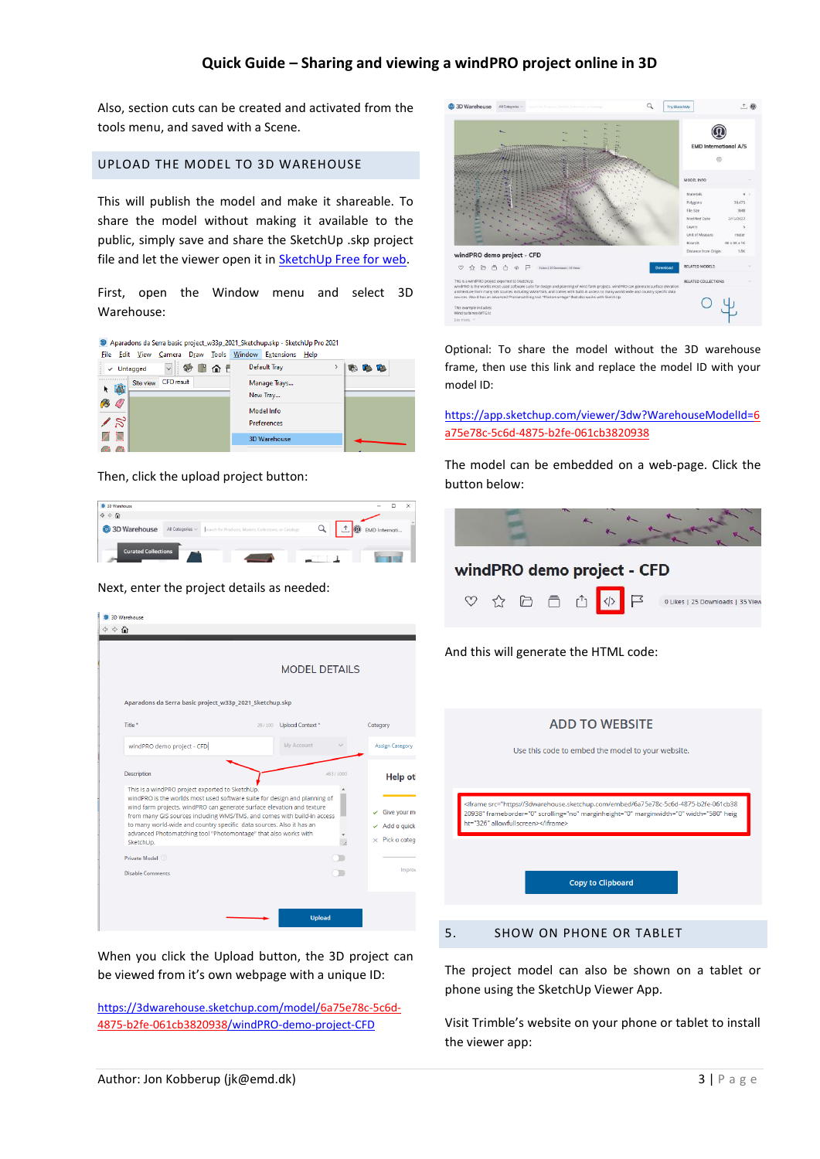## **Quick Guide – Sharing and viewing a windPRO project online in 3D**

Also, section cuts can be created and activated from the tools menu, and saved with a Scene.

#### UPLOAD THE MODEL TO 3D WAREHOUSE

This will publish the model and make it shareable. To share the model without making it available to the public, simply save and share the SketchUp .skp project file and let the viewer open it i[n SketchUp Free for web.](https://app.sketchup.com/app?hl=en)

First, open the Window menu and select 3D Warehouse:

| Aparadons da Serra basic project_w33p_2021_Sketchup.skp - SketchUp Pro 2021 |               |                          |      |                |
|-----------------------------------------------------------------------------|---------------|--------------------------|------|----------------|
| Draw Tools<br>Edit View<br>Camera<br>File                                   | <b>Window</b> | <b>Extensions</b>        | Help |                |
| $\checkmark$<br>Untagged<br>✓                                               | 命日            | Default Tray             |      | <b>PB</b><br>郾 |
| <b>CFD</b> result<br>Site view<br>谕                                         |               | Manage Trays<br>New Tray |      |                |
|                                                                             |               | Model Info               |      |                |
|                                                                             |               | <b>Preferences</b>       |      |                |
|                                                                             |               | <b>3D Warehouse</b>      |      |                |
|                                                                             |               |                          |      |                |

Then, click the upload project button:

| <sup>9</sup> 3D Warehouse                       |                  |                                                       | $\times$<br>$\sim$ |
|-------------------------------------------------|------------------|-------------------------------------------------------|--------------------|
| $\Leftrightarrow$ $\Leftrightarrow$ $\triangle$ |                  |                                                       |                    |
| <b>3D</b> Warehouse                             | All Categories v | Search for Products, Models, Collections, or Catalogs | EMD Internati      |
| <b>Curated Collections</b>                      |                  |                                                       |                    |

Next, enter the project details as needed:

|                                                                                                                                                                                                                                                               |                                                                        | <b>MODEL DETAILS</b> |                       |                               |
|---------------------------------------------------------------------------------------------------------------------------------------------------------------------------------------------------------------------------------------------------------------|------------------------------------------------------------------------|----------------------|-----------------------|-------------------------------|
| Aparadons da Serra basic project_w33p_2021_Sketchup.skp                                                                                                                                                                                                       |                                                                        |                      |                       |                               |
| Title *                                                                                                                                                                                                                                                       | 26/100                                                                 | Upload Context*      | Category              |                               |
| windPRO demo project - CFD                                                                                                                                                                                                                                    |                                                                        | My Account           |                       | Assign Category               |
| <b>Description</b><br>This is a windPRO project exported to SketchUp.<br>windPRO is the worlds most used software suite for design and planning of                                                                                                            | wind farm projects. windPRO can generate surface elevation and texture |                      | 483/1000              | <b>Help ot</b><br>Give your m |
| from many GIS sources including WMS/TMS, and comes with build-in access<br>to many world-wide and country specific data sources. Also it has an<br>advanced Photomatching tool "Photomontage" that also works with<br>SketchUp.<br>Private Model <sup>2</sup> |                                                                        |                      | $\times$ Pick a categ | $\angle$ Add a quick          |

When you click the Upload button, the 3D project can be viewed from it's own webpage with a unique ID:

[https://3dwarehouse.sketchup.com/model/6a75e78c-5c6d-](https://3dwarehouse.sketchup.com/model/6a75e78c-5c6d-4875-b2fe-061cb3820938/windPRO-demo-project-CFD)[4875-b2fe-061cb3820938/windPRO-demo-project-CFD](https://3dwarehouse.sketchup.com/model/6a75e78c-5c6d-4875-b2fe-061cb3820938/windPRO-demo-project-CFD)



Optional: To share the model without the 3D warehouse frame, then use this link and replace the model ID with your model ID:

[https://app.sketchup.com/viewer/3dw?WarehouseModelId=6](https://app.sketchup.com/viewer/3dw?WarehouseModelId=6a75e78c-5c6d-4875-b2fe-061cb3820938) [a75e78c-5c6d-4875-b2fe-061cb3820938](https://app.sketchup.com/viewer/3dw?WarehouseModelId=6a75e78c-5c6d-4875-b2fe-061cb3820938)

The model can be embedded on a web-page. Click the button below:



The project model can also be shown on a tablet or phone using the SketchUp Viewer App.

Visit Trimble's website on your phone or tablet to install the viewer app: